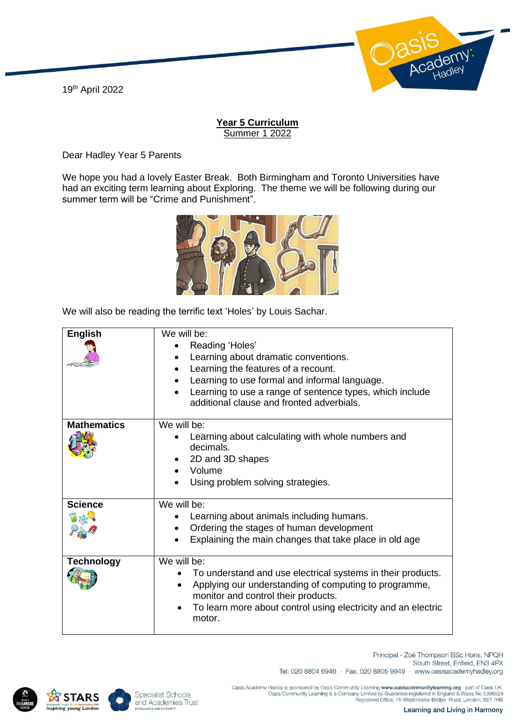19th April 2022



## **Year 5 Curriculum** Summer 1 2022

Dear Hadley Year 5 Parents

We hope you had a lovely Easter Break. Both Birmingham and Toronto Universities have had an exciting term learning about Exploring. The theme we will be following during our summer term will be "Crime and Punishment".



We will also be reading the terrific text 'Holes' by Louis Sachar.

| <b>English</b>     | We will be:<br>Reading 'Holes'<br>Learning about dramatic conventions.<br>Learning the features of a recount.<br>Learning to use formal and informal language.<br>Learning to use a range of sentence types, which include<br>additional clause and fronted adverbials. |
|--------------------|-------------------------------------------------------------------------------------------------------------------------------------------------------------------------------------------------------------------------------------------------------------------------|
| <b>Mathematics</b> | We will be:<br>Learning about calculating with whole numbers and<br>decimals.<br>2D and 3D shapes<br>Volume<br>Using problem solving strategies.                                                                                                                        |
| <b>Science</b>     | We will be:<br>Learning about animals including humans.<br>Ordering the stages of human development<br>Explaining the main changes that take place in old age                                                                                                           |
| <b>Technology</b>  | We will be:<br>To understand and use electrical systems in their products.<br>Applying our understanding of computing to programme,<br>$\bullet$<br>monitor and control their products.<br>To learn more about control using electricity and an electric<br>motor.      |





Tel: 020 8804 6946 · Fax: 020 8805 9949 · www.oasisacademyhadley.org

South Street, Enfield, EN3 4PX

Principal - Zoë Thompson BSc Hons, NPQH